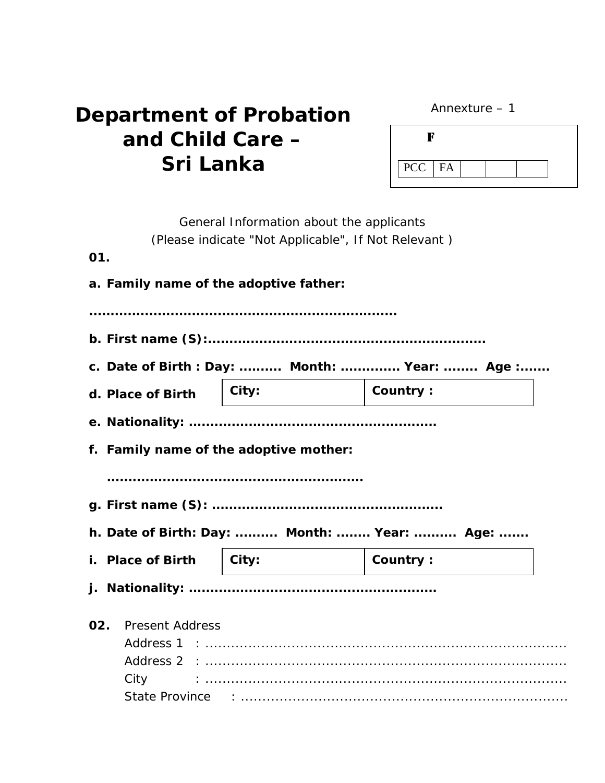| Annexture |  |
|-----------|--|
|-----------|--|

## *Department of Probation and Child Care – Sri Lanka*

| $PCC$ $FA$ |  |  |  |
|------------|--|--|--|

|     |                                              | General Information about the applicants<br>(Please indicate "Not Applicable", If Not Relevant) |          |  |
|-----|----------------------------------------------|-------------------------------------------------------------------------------------------------|----------|--|
| 01. |                                              |                                                                                                 |          |  |
|     | a. Family name of the adoptive father:       |                                                                                                 |          |  |
|     |                                              |                                                                                                 |          |  |
|     |                                              |                                                                                                 |          |  |
|     |                                              |                                                                                                 |          |  |
|     | c. Date of Birth: Day:  Month:  Year:  Age : |                                                                                                 |          |  |
|     | d. Place of Birth                            | City:                                                                                           | Country: |  |
|     |                                              |                                                                                                 |          |  |
|     | f. Family name of the adoptive mother:       |                                                                                                 |          |  |
|     |                                              |                                                                                                 |          |  |
|     |                                              |                                                                                                 |          |  |
|     |                                              |                                                                                                 |          |  |
|     | h. Date of Birth: Day:  Month:  Year:  Age:  |                                                                                                 |          |  |
|     | <i>i.</i> Place of Birth                     | $\vert$ City:                                                                                   | Country: |  |
|     |                                              |                                                                                                 |          |  |
|     |                                              |                                                                                                 |          |  |
| 02. | <b>Present Address</b>                       |                                                                                                 |          |  |
|     |                                              |                                                                                                 |          |  |
|     |                                              |                                                                                                 |          |  |
|     | City                                         |                                                                                                 |          |  |
|     |                                              |                                                                                                 |          |  |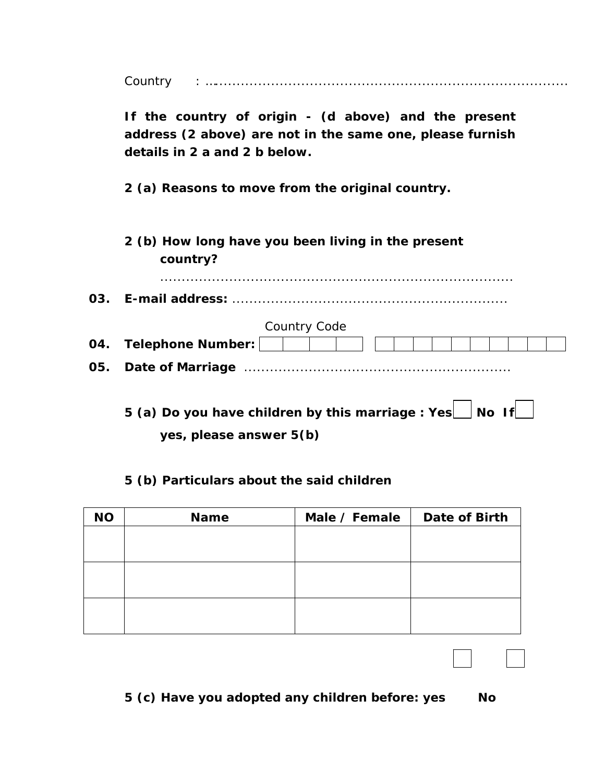Country : …..................................................................................

**If the country of origin - (d above) and the present address (2 above) are not in the same one, please furnish details in 2 a and 2 b below.** 

**2 (a) Reasons to move from the original country.** 

**2 (b) How long have you been living in the present country?**

*..................................................................................*

**03. E-mail address:** *................................................................* 

|     |                         | Country Code |  |  |  |  |  |  |  |
|-----|-------------------------|--------------|--|--|--|--|--|--|--|
|     | 04. Telephone Number:   |              |  |  |  |  |  |  |  |
| 05. | <b>Date of Marriage</b> |              |  |  |  |  |  |  |  |

**5 (a) Do you have children by this marriage : Yes | No If | | yes, please answer 5(b)** 

## **5 (b) Particulars about the said children**

| <b>NO</b> | <b>Name</b> | Male / Female $\vert$ | <b>Date of Birth</b> |
|-----------|-------------|-----------------------|----------------------|
|           |             |                       |                      |
|           |             |                       |                      |
|           |             |                       |                      |
|           |             |                       |                      |
|           |             |                       |                      |
|           |             |                       |                      |

**5 (c) Have you adopted any children before: yes No**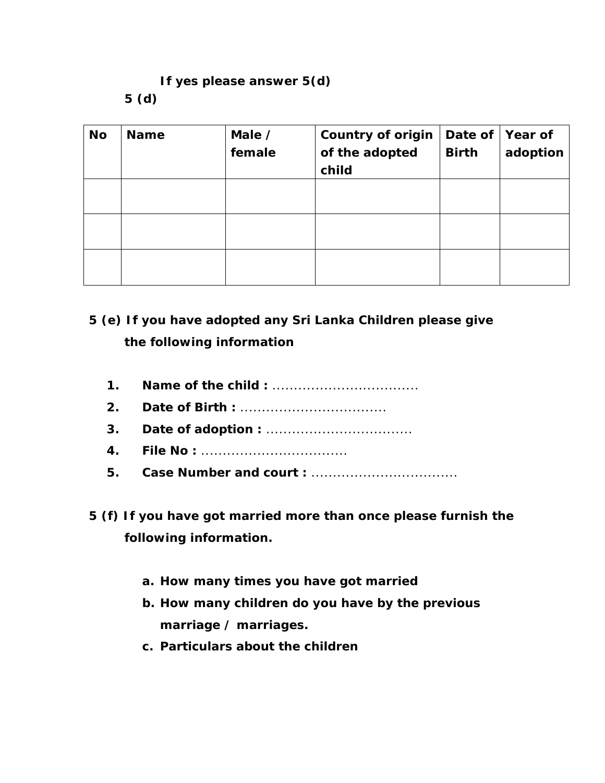## **If yes please answer 5(d) 5 (d)**

| <b>No</b> | <b>Name</b> | Male /<br>female | <b>Country of origin</b><br>of the adopted<br>child | Date of<br><b>Birth</b> | Year of<br>adoption |
|-----------|-------------|------------------|-----------------------------------------------------|-------------------------|---------------------|
|           |             |                  |                                                     |                         |                     |
|           |             |                  |                                                     |                         |                     |
|           |             |                  |                                                     |                         |                     |

## **5 (e) If you have adopted any Sri Lanka Children please give the following information**

- **1. Name of the child :** *..................................*
- **2. Date of Birth :** *..................................*
- **3. Date of adoption :** *..................................*
- **4. File No :** *..................................*
- **5. Case Number and court :** *..................................*
- **5 (f) If you have got married more than once please furnish the following information.** 
	- **a. How many times you have got married**
	- **b. How many children do you have by the previous marriage / marriages.**
	- **c. Particulars about the children**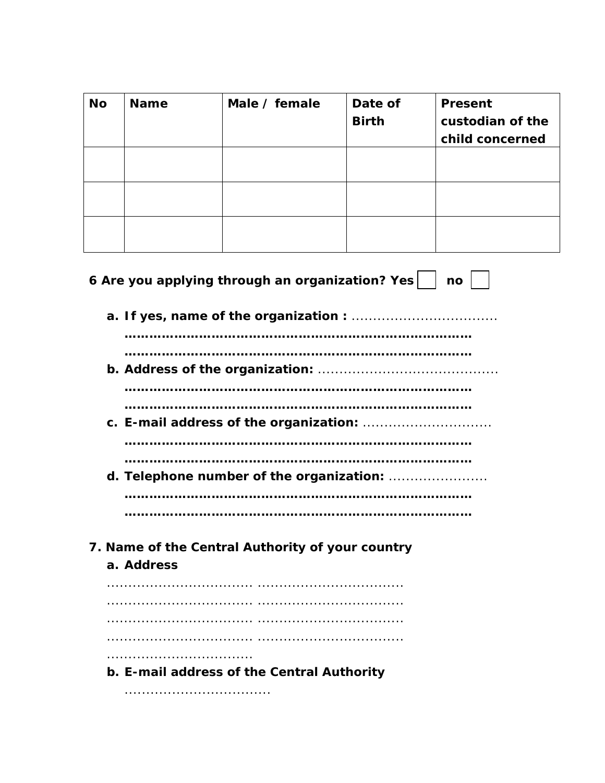| <b>No</b> | <b>Name</b> | Male / female                                    | Date of<br><b>Birth</b> | <b>Present</b><br>custodian of the<br>child concerned |
|-----------|-------------|--------------------------------------------------|-------------------------|-------------------------------------------------------|
|           |             |                                                  |                         |                                                       |
|           |             |                                                  |                         |                                                       |
|           |             |                                                  |                         |                                                       |
|           |             |                                                  |                         |                                                       |
|           |             | 6 Are you applying through an organization? Yes  |                         | no                                                    |
|           |             |                                                  |                         |                                                       |
|           |             |                                                  |                         |                                                       |
|           |             |                                                  |                         |                                                       |
|           |             |                                                  |                         |                                                       |
|           |             |                                                  |                         |                                                       |
|           |             |                                                  |                         |                                                       |
|           |             |                                                  |                         |                                                       |
|           |             |                                                  |                         |                                                       |
|           |             |                                                  |                         |                                                       |
|           |             |                                                  |                         |                                                       |
|           | a. Address  | 7. Name of the Central Authority of your country |                         |                                                       |
|           |             |                                                  |                         |                                                       |
|           |             |                                                  |                         |                                                       |
|           |             |                                                  |                         |                                                       |
|           |             |                                                  |                         |                                                       |
|           |             |                                                  |                         |                                                       |
|           |             | b. E-mail address of the Central Authority       |                         |                                                       |